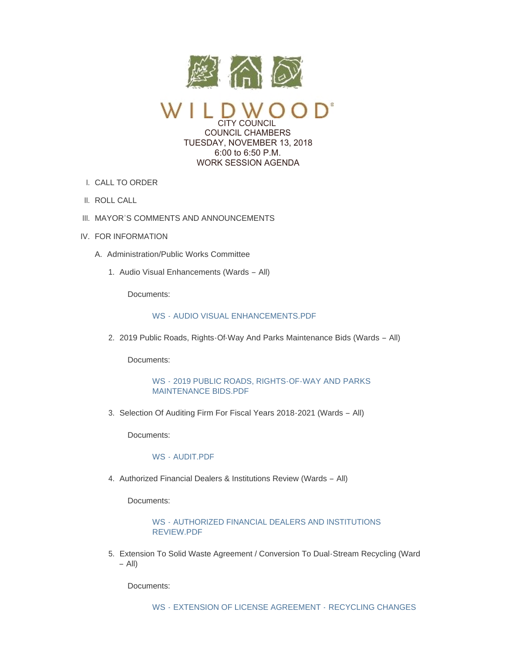

CITY COUNCIL COUNCIL CHAMBERS TUESDAY, NOVEMBER 13, 2018 6:00 to 6:50 P.M. WORK SESSION AGENDA

- CALL TO ORDER I.
- II. ROLL CALL
- III. MAYOR'S COMMENTS AND ANNOUNCEMENTS
- IV. FOR INFORMATION
	- A. Administration/Public Works Committee
		- 1. Audio Visual Enhancements (Wards All)

Documents:

# WS - [AUDIO VISUAL ENHANCEMENTS.PDF](https://www.cityofwildwood.com/AgendaCenter/ViewFile/Item/17830?fileID=24996)

2. 2019 Public Roads, Rights-Of-Way And Parks Maintenance Bids (Wards - All)

Documents:

WS - [2019 PUBLIC ROADS, RIGHTS-OF-WAY AND PARKS](https://www.cityofwildwood.com/AgendaCenter/ViewFile/Item/17809?fileID=24988)  MAINTENANCE BIDS.PDF

3. Selection Of Auditing Firm For Fiscal Years 2018-2021 (Wards - All)

Documents:

### WS - [AUDIT.PDF](https://www.cityofwildwood.com/AgendaCenter/ViewFile/Item/17810?fileID=24989)

4. Authorized Financial Dealers & Institutions Review (Wards - All)

Documents:

WS - [AUTHORIZED FINANCIAL DEALERS AND INSTITUTIONS](https://www.cityofwildwood.com/AgendaCenter/ViewFile/Item/17811?fileID=24990)  REVIEW.PDF

Extension To Solid Waste Agreement / Conversion To Dual-Stream Recycling (Ward 5. – All)

Documents: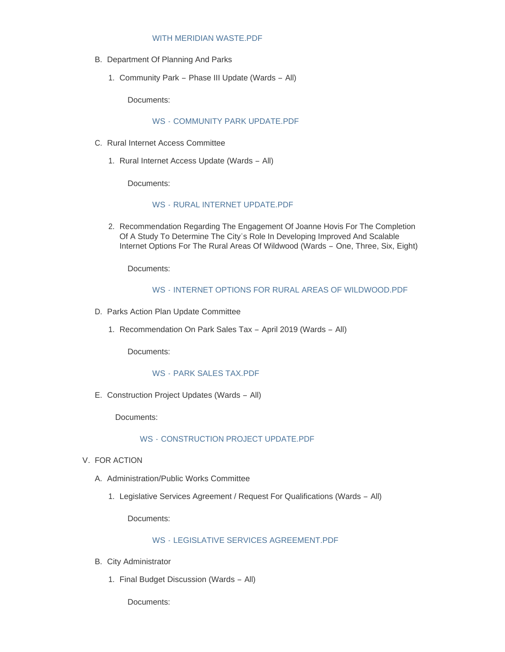#### WITH MERIDIAN WASTE.PDF

- B. Department Of Planning And Parks
	- 1. Community Park Phase III Update (Wards All)

Documents:

#### WS - [COMMUNITY PARK UPDATE.PDF](https://www.cityofwildwood.com/AgendaCenter/ViewFile/Item/17814?fileID=24991)

- C. Rural Internet Access Committee
	- 1. Rural Internet Access Update (Wards All)

Documents:

# WS - [RURAL INTERNET UPDATE.PDF](https://www.cityofwildwood.com/AgendaCenter/ViewFile/Item/17816?fileID=24992)

2. Recommendation Regarding The Engagement Of Joanne Hovis For The Completion Of A Study To Determine The City's Role In Developing Improved And Scalable Internet Options For The Rural Areas Of Wildwood (Wards – One, Three, Six, Eight)

Documents:

## WS - [INTERNET OPTIONS FOR RURAL AREAS OF WILDWOOD.PDF](https://www.cityofwildwood.com/AgendaCenter/ViewFile/Item/17852?fileID=25013)

- D. Parks Action Plan Update Committee
	- 1. Recommendation On Park Sales Tax April 2019 (Wards All)

Documents:

### WS - [PARK SALES TAX.PDF](https://www.cityofwildwood.com/AgendaCenter/ViewFile/Item/17819?fileID=24993)

E. Construction Project Updates (Wards - All)

Documents:

### WS - [CONSTRUCTION PROJECT UPDATE.PDF](https://www.cityofwildwood.com/AgendaCenter/ViewFile/Item/17820?fileID=24994)

- V. FOR ACTION
	- A. Administration/Public Works Committee
		- 1. Legislative Services Agreement / Request For Qualifications (Wards All)

Documents:

# WS - [LEGISLATIVE SERVICES AGREEMENT.PDF](https://www.cityofwildwood.com/AgendaCenter/ViewFile/Item/17823?fileID=24995)

- B. City Administrator
	- 1. Final Budget Discussion (Wards All)

Documents: